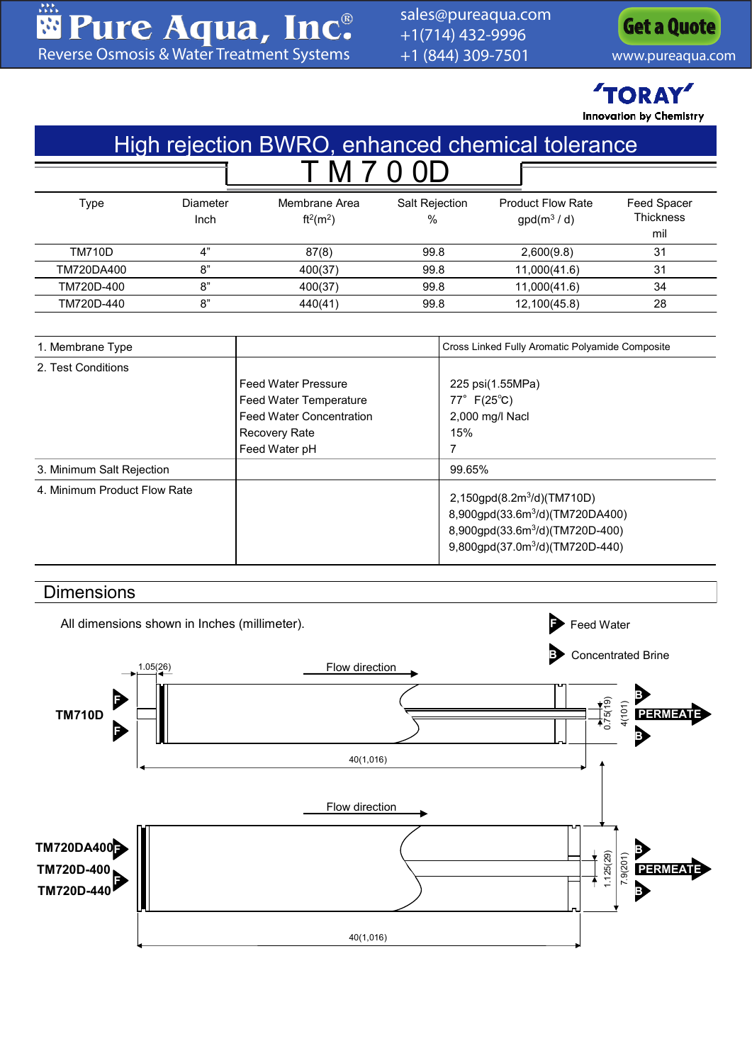器 **Rure Aqua, Inc.**<br>[Reverse Osmosis & Water Treatment Systems](www.pureaqua.com)

[sales@pureaqua.com](mailto:sales@pureaqua.com) +1(714) 432-9996 +1 (844) 309-7501 [www.pureaqua.com](http://www.pureaqua.com/)

**[Get a Quote](http://www.pureaqua.com/get-a-quote/)**

**TORAY Innovation by Chemistry** 

| High rejection BWRO, enhanced chemical tolerance          |                  |                                                                                                                                  |                        |                                                                                                                                                                                               |                                        |  |
|-----------------------------------------------------------|------------------|----------------------------------------------------------------------------------------------------------------------------------|------------------------|-----------------------------------------------------------------------------------------------------------------------------------------------------------------------------------------------|----------------------------------------|--|
|                                                           |                  | M                                                                                                                                |                        |                                                                                                                                                                                               |                                        |  |
| <b>Type</b>                                               | Diameter<br>Inch | Membrane Area<br>$ft^2(m^2)$                                                                                                     | Salt Rejection<br>$\%$ | <b>Product Flow Rate</b><br>$gpd(m^3/d)$                                                                                                                                                      | Feed Spacer<br><b>Thickness</b><br>mil |  |
| <b>TM710D</b>                                             | 4"               | 87(8)                                                                                                                            | 99.8                   | 2,600(9.8)                                                                                                                                                                                    | 31                                     |  |
| TM720DA400                                                | 8"               | 400(37)                                                                                                                          | 99.8                   | 11,000(41.6)                                                                                                                                                                                  | 31                                     |  |
| TM720D-400                                                | 8"               | 400(37)                                                                                                                          | 99.8                   | 11,000(41.6)                                                                                                                                                                                  | 34                                     |  |
| TM720D-440                                                | 8"               | 440(41)                                                                                                                          | 99.8                   | 12,100(45.8)                                                                                                                                                                                  | 28                                     |  |
| 1. Membrane Type<br>2. Test Conditions                    |                  | <b>Feed Water Pressure</b><br>Feed Water Temperature<br><b>Feed Water Concentration</b><br><b>Recovery Rate</b><br>Feed Water pH |                        | Cross Linked Fully Aromatic Polyamide Composite<br>225 psi(1.55MPa)<br>$77^{\circ}$ F(25 $^{\circ}$ C)<br>2,000 mg/l Nacl<br>15%<br>7                                                         |                                        |  |
| 3. Minimum Salt Rejection<br>4. Minimum Product Flow Rate |                  |                                                                                                                                  |                        | 99.65%<br>2,150gpd(8.2m <sup>3</sup> /d)(TM710D)<br>8,900gpd(33.6m <sup>3</sup> /d)(TM720DA400)<br>8,900gpd(33.6m <sup>3</sup> /d)(TM720D-400)<br>9,800gpd(37.0m <sup>3</sup> /d)(TM720D-440) |                                        |  |

## **Dimensions**